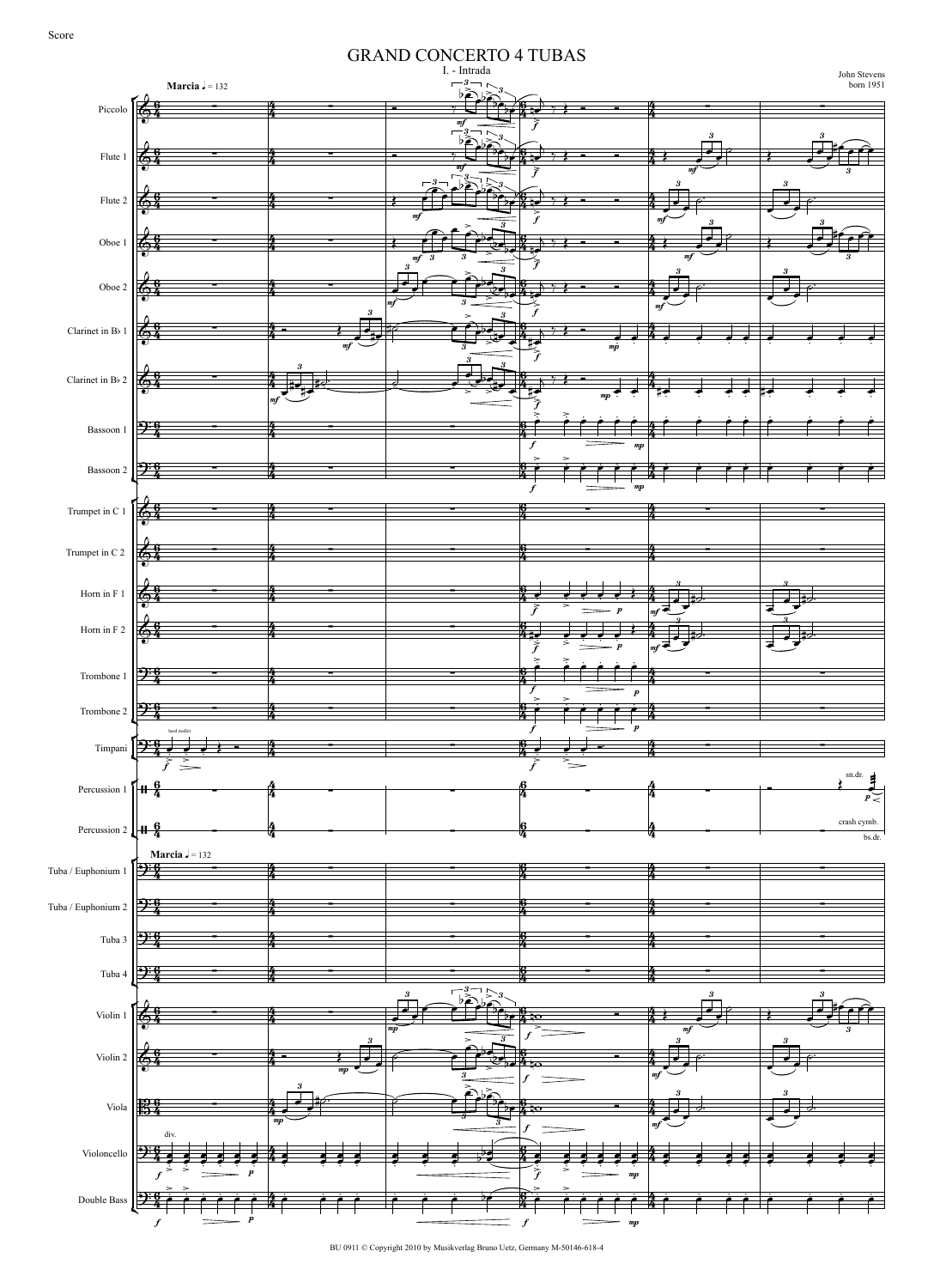$\frac{26}{94}$  $\sqrt{2^3}$  $\boldsymbol{A}$  $\sqrt{2.3}$ r.  $\left[ \frac{9 \cdot 6}{7} \right]$ Percussion 1  $\left| \begin{array}{ccc} 1 & 6 \\ 1 & 4 \end{array} \right|$ Percussion 2  $\left\| \begin{array}{cc} 1 & 6 \\ 1 & 4 \end{array} \right\|$  $\left[ \frac{\partial^{\mathrm{M}}}{\partial \mathbf{r}} \right]$ <u> ၇ှ</u> r.<br>I Double Bass  $\begin{array}{|c|c|c|}\n\hline\n\end{array}$   $\begin{array}{|c|c|}\n\hline\n\end{array}$   $\begin{array}{|c|c|}\n\hline\n\end{array}$   $\begin{array}{|c|c|}\n\hline\n\end{array}$ **Marcia**  $J = 132$ **Marcia**  $J = 132$ I. - Intrada GRAND CONCERTO 4 TUBAS John Stevens born 1951 Piccolo Flute 1 Flute 2 Oboe 1 Oboe 2 Clarinet in Bb 1 Clarinet in Bb 2 Bassoon 1 Bassoon 2 Trumpet in C 1 Trumpet in C 2 Horn in F 1 Horn in F 2 Trombone 1 Trombone 2 Timpani Tuba / Euphonium 1 Tuba / Euphonium 2 Tuba 3 Tuba 4 Violin 1 Violin 2 Viola Violoncello  $\boldsymbol{\theta}$  $\frac{6}{4}$  $\boldsymbol{\theta}$  $\frac{2}{3}$  $\boldsymbol{\theta}$  $\frac{8}{4}$  $\ddot{\mathrm{e}}$  $\frac{6}{4}$  $\boldsymbol{\theta}$  $\frac{2}{3}$  $\boldsymbol{\theta}$  $\frac{6}{3}$  $\frac{6}{4}$  $\overline{\boldsymbol{\theta}}$ "  $\ddot{\mathrm{e}}$  $\frac{6}{4}$  $\ddot{\mathrm{e}}$  $\frac{6}{4}$  $\overline{\boldsymbol{\theta}}$ "  $\frac{6}{4}$  $\frac{6}{4}$  $\ddot{\theta}$  $\frac{5}{2}$  $\ddot{\theta}$ "  $\ddot{\theta}$ "  $\ddot{\mathbf{6}}$ " |<mark>96 -</mark><br>|54 <u>9:6</u> "  $rac{4}{4}$ 4 " 4 " 4 " "  $rac{4}{4}$ 4  $rac{1}{4}$ 4  $rac{4}{4}$ 4  $rac{4}{4}$ 4  $rac{4}{4}$ 4  $rac{4}{4}$ 4  $rac{4}{4}$ 4  $rac{4}{4}$ 4  $rac{4}{4}$ "  $\frac{4}{4}$ 4 " 4 " 4  $\frac{4}{4}$ 4 " 4  $rac{4}{4}$ 4  $\frac{4}{4}$ 4  $rac{4}{4}$ 4 " 4  $rac{4}{4}$ 4  $\frac{4}{4}$ 4  $\frac{4}{4}$ "  $\frac{4}{4}$ 4  $rac{4}{4}$  $\frac{1}{2}$  ,  $\frac{1}{2}$  ,  $\frac{1}{2}$  $\acute{\text e}$ "  $\acute{\text e}$  $\frac{9}{4}$  $\overline{\boldsymbol{\theta}}$  $\frac{9}{4}$  $\ddot{\mathbf{6}}$  $\frac{6}{4}$  $\ddot{\theta}$ "  $\overline{\boldsymbol{\theta}}$ y<br>4 .<br>Ģ y<br>4 6 y<br>4  $\boldsymbol{6}$ "  $\ddot{\mathbf{6}}$ "  $\ddot{\mathbf{6}}$ " .<br>Ģ " 6 " .<br>Ģ "  $\frac{6}{4}$  $\boldsymbol{\varphi}$ **.**<br>4 |<br>Ç "  $\boldsymbol{\theta}$ " .<br>Ģ " .<br>Ģ " .<br>6 " 6 " .<br>Ģ " .<br>Ģ ti<br>4 .<br>G "  $\overline{6}$ " 4 " 4 " 4 " 4 " 4 " 4 " 4 " 4 " 4 " 4  $\frac{4}{4}$ 4 " 4 " .<br>4 " 4 " 4 " 4 " 4  $\frac{4}{4}$ 4 " 4  $\frac{4}{4}$ 4  $\frac{4}{4}$ 4  $\frac{4}{4}$ 4 " 4  $\frac{4}{4}$ 4 " 4 4<br>4 4  $\frac{4}{4}$  $-4$  $\frac{6}{3}$   $\frac{4}{4}$   $\frac{1}{3}$   $\frac{56}{4}$  $\blacksquare$  $\begin{array}{c} -3 \ \hline b \ \hline 2 \ \hline \end{array}$ # \$ \$ mf <sup>f</sup> mf  $\sum_{i=1}^{3} 3 \times 3 \times 3 = 3$ 3  $\frac{6}{4}$   $\frac{3}{4}$   $\frac{4}{4}$  $\frac{m f}{2}$  f my  $3-\frac{3}{2}$  3  $\frac{3}{2}$  3  $\frac{6}{4}$   $\frac{3}{4}$   $\frac{4}{4}$ mf  $\begin{array}{c|c}\n3 & 3 \\
\hline\n\end{array}$   $\begin{array}{c|c}\n\hline\n\end{array}$   $\begin{array}{c}\n\hline\n\end{array}$   $\begin{array}{c}\n\hline\n\end{array}$   $\begin{array}{c}\n\hline\n\end{array}$  $\frac{3}{3}$   $\frac{3}{2}$   $\frac{3}{2}$   $\frac{3}{2}$ 3  $\frac{6}{94}$   $\frac{4}{4}$   $\frac{4}{9}$ mf  $f$  mj 3 3  $\frac{3}{2}$  3 3  $\frac{6}{9}$   $\frac{6}{9}$ mf i<br>f mp 3 3 3  $\clubsuit$  $\begin{array}{ccc} \text{mf} & \longrightarrow & \text{mf} \end{array}$ mp  $\frac{3}{3}$   $\frac{3}{3}$   $\frac{3}{3}$  $\frac{3}{4}$   $\frac{4}{4}$   $\frac{4}{4}$   $\frac{4}{4}$   $\frac{4}{4}$   $\frac{4}{4}$   $\frac{4}{4}$   $\frac{4}{4}$   $\frac{4}{4}$   $\frac{4}{4}$   $\frac{4}{4}$   $\frac{4}{4}$   $\frac{4}{4}$   $\frac{4}{4}$   $\frac{4}{4}$   $\frac{4}{4}$   $\frac{4}{4}$   $\frac{4}{4}$   $\frac{4}{4}$   $\frac{4}{4}$   $\frac{4}{4}$   $\frac{4}{4}$  f and  $\frac{1}{m}$  $\frac{3}{4}$   $\frac{4}{4}$   $\frac{4}{4}$   $\frac{4}{4}$   $\frac{4}{4}$   $\frac{4}{4}$   $\frac{4}{4}$   $\frac{4}{4}$   $\frac{4}{4}$   $\frac{4}{4}$   $\frac{4}{4}$   $\frac{4}{4}$   $\frac{4}{4}$   $\frac{4}{4}$   $\frac{4}{4}$   $\frac{4}{4}$   $\frac{4}{4}$   $\frac{4}{4}$   $\frac{4}{4}$   $\frac{4}{4}$   $\frac{4}{4}$   $\frac{4}{4}$  f and  $\mu$  $\frac{6}{4}$   $\frac{6}{4}$   $\frac{1}{4}$   $\frac{6}{4}$   $\frac{1}{4}$   $\frac{1}{4}$  $\frac{4}{94}$   $\frac{4}{4}$   $\frac{1}{4}$   $\frac{6}{4}$   $\frac{4}{4}$   $\frac{1}{4}$  $\frac{4}{4}$   $\frac{4}{4}$   $\frac{4}{4}$   $\frac{4}{4}$   $\frac{4}{4}$   $\frac{4}{4}$   $\frac{4}{4}$   $\frac{4}{4}$   $\frac{4}{4}$   $\frac{4}{4}$   $\frac{4}{4}$   $\frac{4}{4}$   $\frac{4}{4}$   $\frac{4}{4}$   $\frac{4}{4}$   $\frac{4}{4}$   $\frac{4}{4}$   $\frac{4}{4}$   $\frac{4}{4}$   $\frac{4}{4}$   $\frac{4}{4}$   $\frac{4}{4}$  f  $\sum_{m}$  p |mj  $\frac{3}{2}$   $\frac{3}{2}$   $\frac{3}{2}$   $\frac{3}{2}$  $\frac{1}{2}$   $\frac{1}{2}$   $\frac{1}{2}$   $\frac{1}{2}$   $\frac{1}{2}$   $\frac{1}{2}$   $\frac{1}{2}$   $\frac{1}{2}$   $\frac{1}{2}$   $\frac{1}{2}$   $\frac{1}{2}$   $\frac{1}{2}$   $\frac{1}{2}$   $\frac{1}{2}$   $\frac{1}{2}$   $\frac{1}{2}$   $\frac{1}{2}$   $\frac{1}{2}$   $\frac{1}{2}$   $\frac{1}{2}$   $\frac{1}{2}$   $\frac{1}{2}$   $\tilde{f}$   $\tilde{f}$   $\tilde{f}$   $\tilde{f}$   $\tilde{f}$   $\tilde{f}$  $\frac{3}{2}$   $\frac{3}{2}$   $\frac{3}{2}$   $\frac{3}{2}$  $\frac{3}{4}$   $\frac{6}{4}$   $\frac{4}{4}$   $\frac{3}{4}$   $\frac{5}{4}$   $\frac{6}{4}$   $\frac{7}{4}$   $\frac{8}{4}$   $\frac{9}{4}$   $\frac{10}{4}$   $\frac{10}{4}$   $\frac{10}{4}$   $\frac{10}{4}$   $\frac{10}{4}$   $\frac{10}{4}$   $\frac{10}{4}$   $\frac{10}{4}$   $\frac{10}{4}$   $\frac{10}{4}$   $\frac{10}{4}$   $\frac{10}{4}$ f  $=$   $p$  $\blacksquare$  $\frac{3}{2}$   $\frac{6}{4}$   $\frac{4}{4}$   $\frac{3}{4}$   $\frac{4}{4}$   $\frac{5}{4}$   $\frac{6}{4}$   $\frac{1}{4}$   $\frac{5}{4}$   $\frac{6}{4}$   $\frac{1}{4}$   $\frac{5}{4}$   $\frac{1}{4}$   $\frac{5}{4}$   $\frac{1}{4}$   $\frac{5}{4}$   $\frac{1}{4}$   $\frac{1}{4}$   $\frac{1}{4}$   $\frac{1}{4}$   $\frac{1}{4}$   $\frac{1}{4}$  f  $p \rightarrow p$  $\blacksquare$ f hard mallet  $\blacksquare$ f  $\blacksquare$  $+ \frac{9}{4}$   $+ \frac{9}{4}$   $+ \frac{3}{4}$ sn.dr. p  $\frac{6}{4}$  crash cymb.  $\frac{6}{4}$  crash cymb. bs.dr.  $\frac{6}{2}$   $\frac{4}{3}$   $\frac{1}{2}$   $\frac{6}{3}$   $\frac{4}{3}$   $\frac{1}{3}$  $\frac{3}{2}$   $\frac{6}{4}$   $\frac{4}{4}$   $\frac{6}{4}$   $\frac{4}{4}$   $\frac{4}{4}$  $\frac{3}{2}$   $\frac{6}{4}$   $\frac{1}{2}$   $\frac{6}{4}$   $\frac{1}{2}$   $\frac{6}{4}$   $\frac{1}{2}$  $\frac{3}{4}$   $\frac{6}{4}$   $\frac{4}{4}$   $\frac{6}{4}$   $\frac{4}{4}$  $\frac{1}{2}$   $\frac{1}{2}$   $\frac{1}{2}$   $\frac{1}{2}$  $\frac{mp}{p}$  f  $\frac{pm}{p}$   $\frac{mp}{q}$   $\frac{mp}{q}$  $\frac{3}{2}$   $\left[\frac{3}{2}\right]$   $\left[\frac{3}{2}\right]$   $\left[\frac{3}{2}\right]$   $\left[\frac{3}{2}\right]$   $\frac{3}{2}$ 3  $\begin{array}{ccc} \sqrt{6} & - & \frac{4}{4} & \frac{1}{6} \\ \frac{6}{6} & \frac{1}{4} & \frac{1}{4} & \frac{1}{6} \\ \frac{6}{6} & \frac{1}{6} & \frac{1}{6} & \frac{1}{6} \\ \frac{1}{6} & \frac{1}{6} & \frac{1}{6} & \frac{1}{6} \\ \frac{1}{6} & \frac{1}{6} & \frac{1}{6} & \frac{1}{6} \\ \frac{1}{6} & \frac{1}{6} & \frac{1}{6} & \frac{1}{6} \\ \frac{1}{6} & \frac{1}{6} & \frac{1}{6} & \frac{1}{$  $f \sim$  mf 3 3 3 3 3 mp f  $\frac{1}{m}$ 3  $rac{3}{3}$ 3 3 f div. p f  $\frac{1}{f}$  mp ( )  $\sum_{i=1}^{n}$  $\overline{\widetilde{f}}$  $\, \, \frac{1}{7} \, \frac{1}{5}$  - - $\blacksquare$ \*  $\sum_{i=1}^{3} \frac{1}{2}$  $\frac{1}{2}$  $\frac{1}{1}$ -  $\frac{1}{2}$ ,  $\frac{1}{2}$ ,  $\frac{1}{2}$ ,  $\frac{1}{2}$ ,  $\frac{1}{2}$  $\left| \cdot \right\rangle$ / \* \* \* \*,+\* \* \*  $\frac{1}{2}$  $\frac{1}{\epsilon}$ -  $\frac{1}{2}$ ,  $\frac{1}{2}$ ,  $\frac{1}{2}$ ,  $\frac{1}{2}$ ,  $\frac{1}{2}$ ,  $\frac{1}{2}$ / \* \* \* \* \*  $\geq$  $\frac{1}{2}$ +  $\frac{1}{2}$ ,  $\frac{6}{4}$  $\tilde{\jmath}$ - . ) / ( ( / \* \* \* <sup>0</sup> / \* \* \*  $\left| \cdot \right\rangle$  $\overline{U}$  $\rightarrow$  $\geq$  $\frac{6}{2}$ ,  $\frac{6}{4}$ + -  $\mathcal{S}$  )  $\mathcal{S}$   $\mathcal{S}$   $\mathcal{S}$   $\mathcal{S}$   $\mathcal{S}$   $\mathcal{S}$   $\mathcal{S}$   $\mathcal{S}$   $\mathcal{S}$   $\mathcal{S}$   $\mathcal{S}$   $\mathcal{S}$   $\mathcal{S}$   $\mathcal{S}$   $\mathcal{S}$   $\mathcal{S}$   $\mathcal{S}$   $\mathcal{S}$   $\mathcal{S}$   $\mathcal{S}$   $\mathcal{S}$   $\mathcal{S}$   $\mathcal{S}$   $\math$  $\begin{array}{c} \begin{array}{c} \hline \end{array} \end{array}$  $\geq$  $\rightarrow$ +  $\frac{6}{10}$  $\frac{1}{2}$  ,  $\frac{1}{2}$   $\frac{1}{2}$   $\frac{1}{2}$   $\frac{1}{2}$   $\frac{1}{2}$   $\frac{1}{2}$   $\frac{1}{2}$   $\frac{1}{2}$   $\frac{1}{2}$   $\frac{1}{2}$   $\frac{1}{2}$   $\frac{1}{2}$   $\frac{1}{2}$   $\frac{1}{2}$   $\frac{1}{2}$   $\frac{1}{2}$   $\frac{1}{2}$   $\frac{1}{2}$   $\frac{1}{2}$   $\frac{1}{2}$   $\frac{1}{2}$ \* 1\*1\*  $\frac{1}{2}$   $\frac{1}{2}$   $\frac{1}{2}$   $\frac{1}{2}$   $\frac{1}{2}$  $\Rightarrow$ <u>مور</u> +  $\frac{1}{2}$ -<br>ح  $\frac{1}{2}$  . )  $\frac{2}{3}$  \* and  $\frac{4}{3}$   $\frac{4}{7}$   $\frac{4}{7}$   $\frac{4}{7}$   $\frac{4}{7}$   $\frac{4}{7}$   $\frac{4}{7}$   $\frac{4}{7}$   $\frac{4}{7}$   $\frac{4}{7}$   $\frac{4}{7}$   $\frac{4}{7}$   $\frac{4}{7}$   $\frac{4}{7}$ \*  $\sum_{i=1}^{\infty}$  $\frac{1}{\phi}$   $\frac{1}{\phi}$ <u>خ خ</u> خ خ خ خ  $\frac{1}{4}$ <u>غ خ</u> .<br>4 - غ خ خ  $\overrightarrow{ }$ .<br><del>.</del> <u>.<br>ج</u> .<br>4 - غ 2 \* 2<br>2  $\frac{1}{\epsilon}$   $\frac{1}{\epsilon}$ 2  $\frac{1}{\cdot}$ <u>.</u> .<br>.<br>. <u>.</u>  $\frac{1}{2}$   $\frac{1}{2}$  $\frac{1}{2}$  $\frac{1}{2}$ <u>.</u> 2 \* 2 \*  $\frac{1}{2}$  $\frac{1}{2}$ 2  $\frac{1}{\zeta}$   $\frac{2}{\zeta}$  $\frac{1}{2}$   $\frac{1}{2}$   $\frac{1}{2}$   $\frac{1}{2}$   $\frac{1}{2}$  $\overline{v}$  $\frac{1}{2}$ 10#  $\frac{1}{\tilde{f}}$  $\frac{1}{2}$  $\frac{1}{p}$  $\overline{v}$  $\frac{1}{2}$  $#$ \*  $\frac{1}{\cdot}$   $\frac{1}{\cdot}$  $\frac{1}{\cdot}$   $\frac{1}{\cdot}$  $\exists$  $\overline{\phantom{a}}$ .<br>ة \* 2<br>2<br>2  $\frac{1}{\epsilon}$   $\frac{1}{\epsilon}$ 2<br>2<br>2  $\frac{1}{\cdot}$ <u>. .</u> <u>. .</u>  $\dot{\textbf{z}}$ 2  $\frac{1}{2}$  ,  $\frac{1}{2}$  ,  $\frac{1}{2}$  ,  $\frac{1}{2}$  ,  $\frac{1}{2}$  ,  $\frac{1}{2}$  ,  $\frac{1}{2}$  ,  $\frac{1}{2}$  ,  $\frac{1}{2}$  $\frac{1}{\gamma}$   $\frac{1}{\gamma}$  $\frac{1}{2}$   $\frac{1}{2}$  $\begin{array}{ccc} \cdot & \text{and} & \downarrow \\ \downarrow & \downarrow & \downarrow \\ \end{array}$ \*  $\frac{1}{\sqrt{2}}$  $\sum_{i}^{3}$  $\geq$  $\mathcal{P}_\mathsf{P}$  $\equiv$  $\frac{1}{40}$   $\frac{1}{4}$   $\frac{1}{4}$   $\frac{1}{4}$   $\frac{1}{4}$   $\frac{1}{4}$   $\frac{1}{4}$   $\frac{1}{4}$  $\textcolor{red}{\widehat{\mathbf{r}}}\hspace{-0.5pt}\textcolor{blue}{\widehat{\mathbf{r}}}\hspace{-0.5pt}\textcolor{blue}{\widehat{\mathbf{r}}}\hspace{-0.5pt}\textcolor{blue}{\widehat{\mathbf{r}}}\hspace{-0.5pt}\textcolor{blue}{\widehat{\mathbf{r}}}\hspace{-0.5pt}\textcolor{blue}{\widehat{\mathbf{r}}}\hspace{-0.5pt}\textcolor{blue}{\widehat{\mathbf{r}}}\hspace{-0.5pt}\textcolor{blue}{\widehat{\mathbf{r}}}\hspace{-0.5pt}\textcolor{blue}{\widehat{\mathbf{r}}}\hspace{-0.5pt}\textcolor{blue}{\widehat{\mathbf{$ ( / \* \* \* <sup>0</sup> \* \* -<br>-<br>- $\frac{1}{2}$  $\Rightarrow$  $\frac{1}{2}$ ,  $\frac{1}{2}$ ,  $\frac{1}{2}$ ,  $\frac{1}{2}$ ,  $\frac{1}{2}$ ,  $\frac{1}{2}$ ,  $\frac{1}{2}$ ,  $\frac{1}{2}$ ,  $\frac{1}{2}$ ,  $\frac{1}{2}$ ,  $\frac{1}{2}$ ,  $\frac{1}{2}$ ,  $\frac{1}{2}$ ,  $\frac{1}{2}$ ,  $\frac{1}{2}$ ,  $\frac{1}{2}$ ,  $\frac{1}{2}$ ,  $\frac{1}{2}$ ,  $\frac{1}{2}$ ,  $\frac{1}{2}$ ,  $\overline{\cdot}$   $\overline{\cdot}$  $\overrightarrow{p}$  $\geq$  $\frac{1}{2}$  $+\frac{3}{2}$  (  $+\frac{3}{2}$  )  $\frac{3}{2}$  (  $+\frac{3}{2}$  )  $\frac{3}{2}$  )  $\frac{3}{2}$  )  $\frac{3}{2}$  )  $\frac{3}{2}$  )  $\frac{3}{2}$  )  $\frac{3}{2}$  )  $\frac{3}{2}$  )  $\frac{3}{2}$  )  $\frac{3}{2}$  )  $\frac{3}{2}$  )  $\frac{3}{2}$  )  $\frac{3}{2}$  )  $\frac{3}{2}$  )  $\frac{3}{2}$  )  $\frac{3$ \* \* :<br>:  $\frac{1}{2}$   $\frac{1}{2}$ \* :<br>:  $\frac{1}{2}$ \*  $\ddot{ }$ \*  $\Rightarrow$ \*  $\frac{2}{\pi}$ \*  $\frac{2}{3}$ \* 2 \* \*  $\ddot{\cdot}$ \*  $\ddot{\cdot}$ \* 2 \* \* 2 \* \* 2 \* \*  $\frac{1}{2}$  $\frac{6}{4}$ , \* :<br>;  $\frac{1}{\gamma}$   $\frac{1}{\gamma}$ \* :<br>;  $\ddot{\cdot}$   $\ddot{\cdot}$ \*  $\ddot{\cdot}$ \*  $\ddot{\cdot}$ \*  $\frac{2}{\cdot}$ \* 2 \* \* 2 \* \* 2 \* \*  $\ddot{\phantom{0}}$ \*  $\ddot{\phantom{0}}$  : \*  $\mathbf{z}$ \* 2 \* \* 2 \* \* 2 2<br>2<br>2 2<br>2<br>2  $\frac{1}{\cdot}$  $\mathbf{f}$  $\frac{1}{2}$  $\frac{1}{2}$  $\frac{1}{2}$  $\frac{1}{\sqrt{2}}$  $\frac{1}{2}$  $\frac{1}{2}$  $\frac{1}{\epsilon}$  $\frac{1}{2}$  $\frac{1}{2}$  $\frac{1}{2}$  $\frac{1}{2}$  $\frac{1}{\cdot}$   $\frac{1}{\cdot}$  $\frac{1}{2}$  $\frac{1}{\cdot}$  $\frac{1}{2}$  $\mathsf{I}$  $\frac{1}{2}$  $\frac{1}{\epsilon}$  $\frac{1}{\epsilon}$   $\frac{1}{\epsilon}$  $\frac{1}{\cdot}$  $\frac{1}{2}$  $\frac{1}{\epsilon}$  $\frac{1}{\epsilon}$  $\overline{ }$ 2

BU 0911 © Copyright 2010 by Musikverlag Bruno Uetz, Germany M-50146-618-4

f  $\frac{}{f}$  p f  $\frac{}{f}$  mp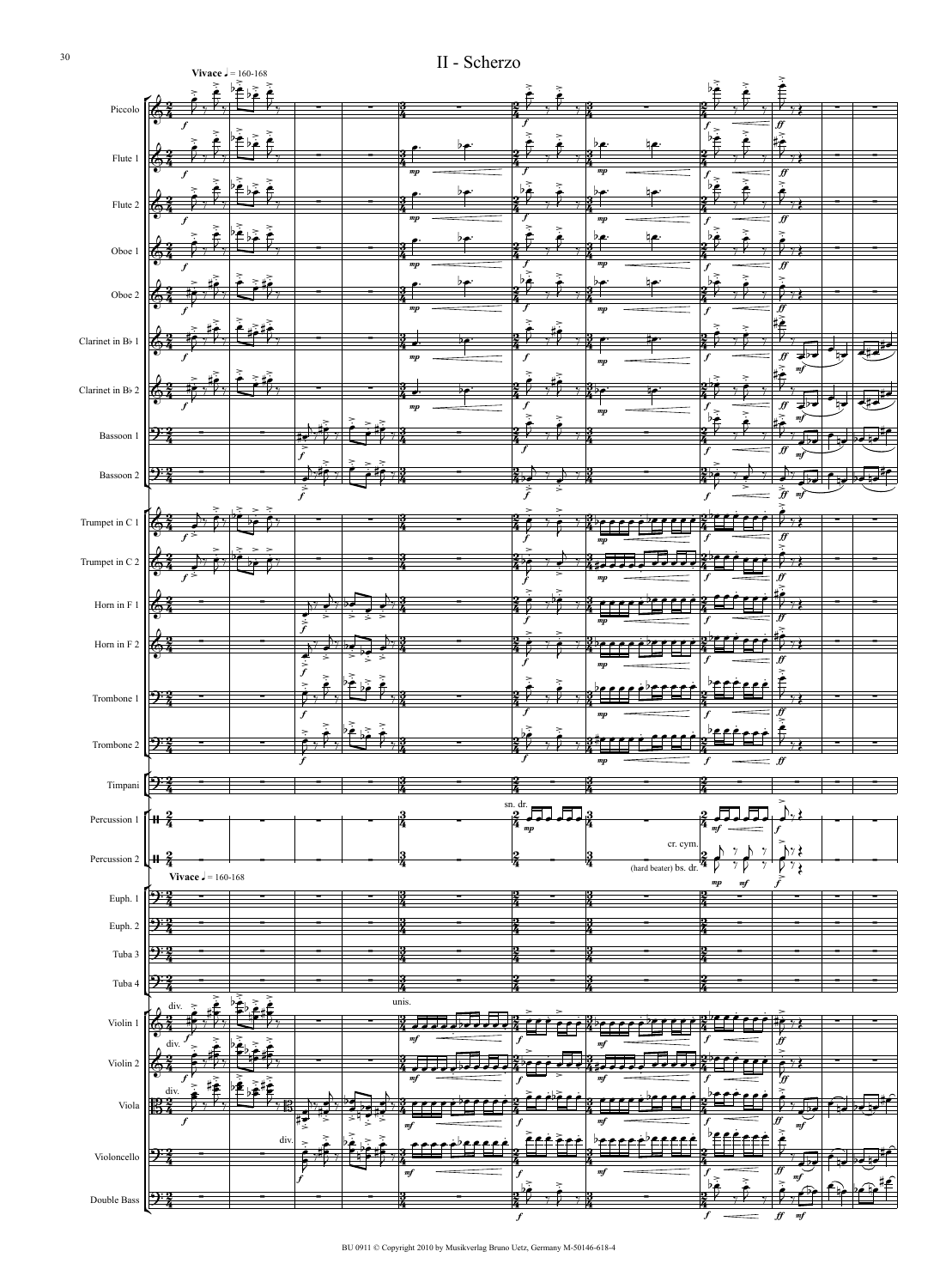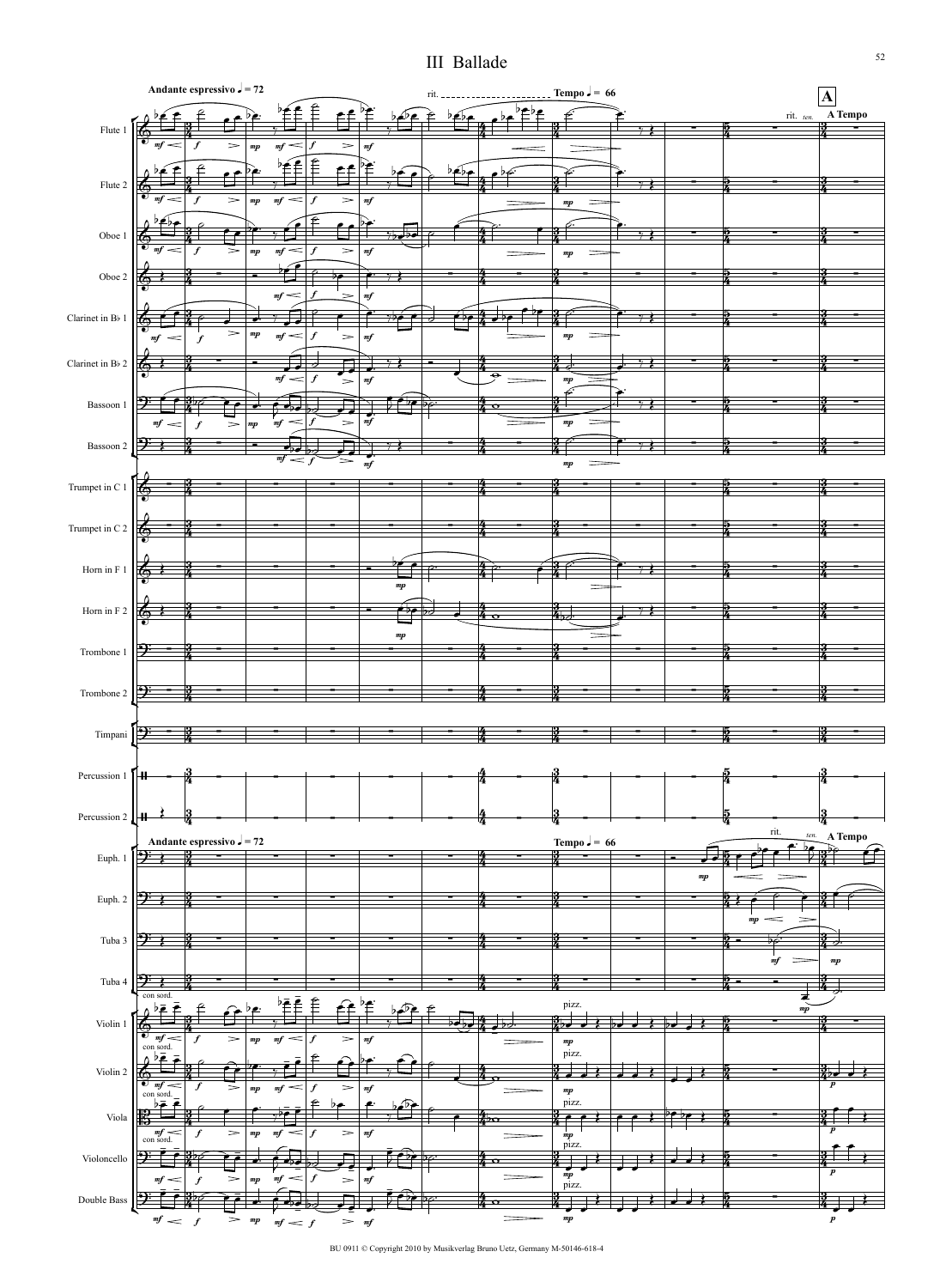## III Ballade



BU 0911 © Copyright 2010 by Musikverlag Bruno Uetz, Germany M-50146-618-4